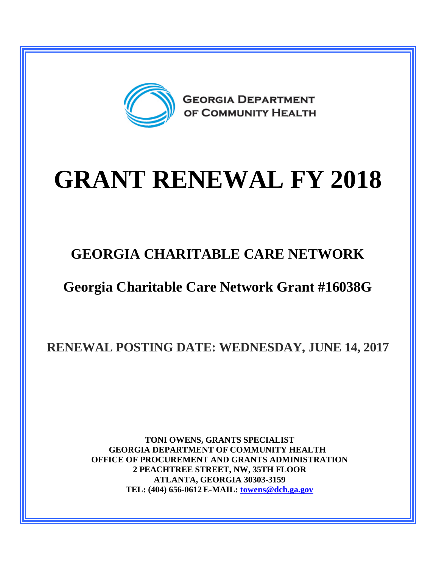

# **GRANT RENEWAL FY 2018**

## **GEORGIA CHARITABLE CARE NETWORK**

## **Georgia Charitable Care Network Grant #16038G**

**RENEWAL POSTING DATE: WEDNESDAY, JUNE 14, 2017**

**TONI OWENS, GRANTS SPECIALIST GEORGIA DEPARTMENT OF COMMUNITY HEALTH OFFICE OF PROCUREMENT AND GRANTS ADMINISTRATION 2 PEACHTREE STREET, NW, 35TH FLOOR ATLANTA, GEORGIA 30303-3159 TEL: (404) 656-0612 E-MAIL: [towens@dch.ga.gov](mailto:towens@dch.ga.gov)**